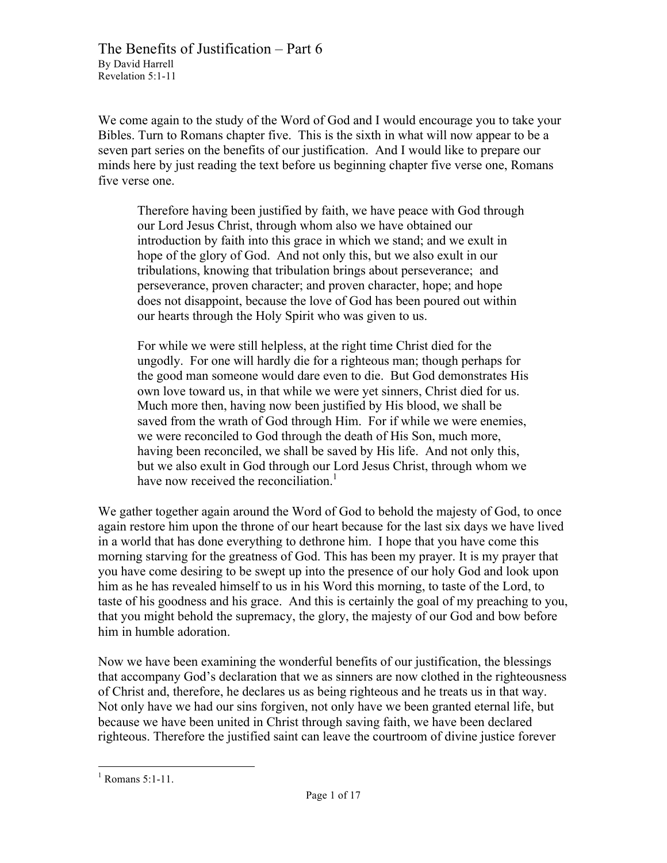We come again to the study of the Word of God and I would encourage you to take your Bibles. Turn to Romans chapter five. This is the sixth in what will now appear to be a seven part series on the benefits of our justification. And I would like to prepare our minds here by just reading the text before us beginning chapter five verse one, Romans five verse one.

Therefore having been justified by faith, we have peace with God through our Lord Jesus Christ, through whom also we have obtained our introduction by faith into this grace in which we stand; and we exult in hope of the glory of God. And not only this, but we also exult in our tribulations, knowing that tribulation brings about perseverance; and perseverance, proven character; and proven character, hope; and hope does not disappoint, because the love of God has been poured out within our hearts through the Holy Spirit who was given to us.

For while we were still helpless, at the right time Christ died for the ungodly. For one will hardly die for a righteous man; though perhaps for the good man someone would dare even to die. But God demonstrates His own love toward us, in that while we were yet sinners, Christ died for us. Much more then, having now been justified by His blood, we shall be saved from the wrath of God through Him. For if while we were enemies, we were reconciled to God through the death of His Son, much more, having been reconciled, we shall be saved by His life. And not only this, but we also exult in God through our Lord Jesus Christ, through whom we have now received the reconciliation.<sup>1</sup>

We gather together again around the Word of God to behold the majesty of God, to once again restore him upon the throne of our heart because for the last six days we have lived in a world that has done everything to dethrone him. I hope that you have come this morning starving for the greatness of God. This has been my prayer. It is my prayer that you have come desiring to be swept up into the presence of our holy God and look upon him as he has revealed himself to us in his Word this morning, to taste of the Lord, to taste of his goodness and his grace. And this is certainly the goal of my preaching to you, that you might behold the supremacy, the glory, the majesty of our God and bow before him in humble adoration.

Now we have been examining the wonderful benefits of our justification, the blessings that accompany God's declaration that we as sinners are now clothed in the righteousness of Christ and, therefore, he declares us as being righteous and he treats us in that way. Not only have we had our sins forgiven, not only have we been granted eternal life, but because we have been united in Christ through saving faith, we have been declared righteous. Therefore the justified saint can leave the courtroom of divine justice forever

 $1$  Romans 5:1-11.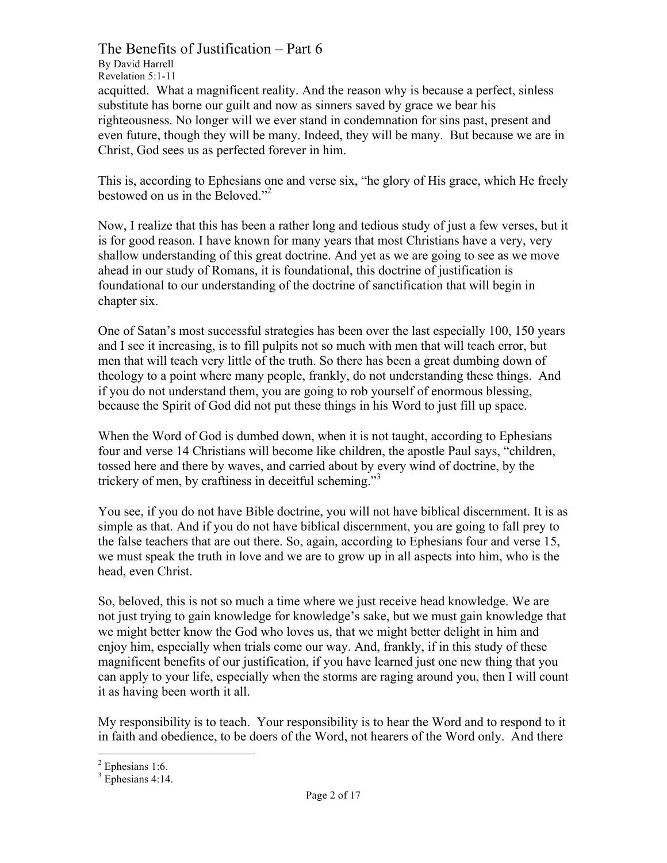The Benefits of Justification – Part 6

By David Harrell Revelation 5:1-11

acquitted. What a magnificent reality. And the reason why is because a perfect, sinless substitute has borne our guilt and now as sinners saved by grace we bear his righteousness. No longer will we ever stand in condemnation for sins past, present and even future, though they will be many. Indeed, they will be many. But because we are in Christ, God sees us as perfected forever in him.

This is, according to Ephesians one and verse six, "he glory of His grace, which He freely bestowed on us in the Beloved."<sup>2</sup>

Now, I realize that this has been a rather long and tedious study of just a few verses, but it is for good reason. I have known for many years that most Christians have a very, very shallow understanding of this great doctrine. And yet as we are going to see as we move ahead in our study of Romans, it is foundational, this doctrine of justification is foundational to our understanding of the doctrine of sanctification that will begin in chapter six.

One of Satan's most successful strategies has been over the last especially 100, 150 years and I see it increasing, is to fill pulpits not so much with men that will teach error, but men that will teach very little of the truth. So there has been a great dumbing down of theology to a point where many people, frankly, do not understanding these things. And if you do not understand them, you are going to rob yourself of enormous blessing, because the Spirit of God did not put these things in his Word to just fill up space.

When the Word of God is dumbed down, when it is not taught, according to Ephesians four and verse 14 Christians will become like children, the apostle Paul says, "children, tossed here and there by waves, and carried about by every wind of doctrine, by the trickery of men, by craftiness in deceitful scheming."<sup>3</sup>

You see, if you do not have Bible doctrine, you will not have biblical discernment. It is as simple as that. And if you do not have biblical discernment, you are going to fall prey to the false teachers that are out there. So, again, according to Ephesians four and verse 15, we must speak the truth in love and we are to grow up in all aspects into him, who is the head, even Christ.

So, beloved, this is not so much a time where we just receive head knowledge. We are not just trying to gain knowledge for knowledge's sake, but we must gain knowledge that we might better know the God who loves us, that we might better delight in him and enjoy him, especially when trials come our way. And, frankly, if in this study of these magnificent benefits of our justification, if you have learned just one new thing that you can apply to your life, especially when the storms are raging around you, then I will count it as having been worth it all.

My responsibility is to teach. Your responsibility is to hear the Word and to respond to it in faith and obedience, to be doers of the Word, not hearers of the Word only. And there

 $2$  Ephesians 1:6.

 $3$  Ephesians 4:14.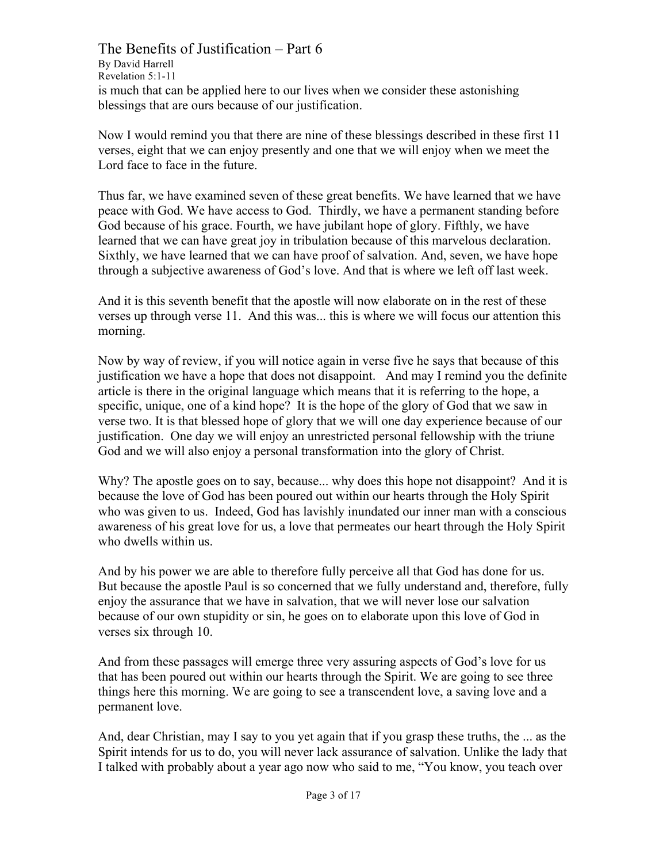The Benefits of Justification – Part 6 By David Harrell Revelation 5:1-11 is much that can be applied here to our lives when we consider these astonishing blessings that are ours because of our justification.

Now I would remind you that there are nine of these blessings described in these first 11 verses, eight that we can enjoy presently and one that we will enjoy when we meet the Lord face to face in the future.

Thus far, we have examined seven of these great benefits. We have learned that we have peace with God. We have access to God. Thirdly, we have a permanent standing before God because of his grace. Fourth, we have jubilant hope of glory. Fifthly, we have learned that we can have great joy in tribulation because of this marvelous declaration. Sixthly, we have learned that we can have proof of salvation. And, seven, we have hope through a subjective awareness of God's love. And that is where we left off last week.

And it is this seventh benefit that the apostle will now elaborate on in the rest of these verses up through verse 11. And this was... this is where we will focus our attention this morning.

Now by way of review, if you will notice again in verse five he says that because of this justification we have a hope that does not disappoint. And may I remind you the definite article is there in the original language which means that it is referring to the hope, a specific, unique, one of a kind hope? It is the hope of the glory of God that we saw in verse two. It is that blessed hope of glory that we will one day experience because of our justification. One day we will enjoy an unrestricted personal fellowship with the triune God and we will also enjoy a personal transformation into the glory of Christ.

Why? The apostle goes on to say, because... why does this hope not disappoint? And it is because the love of God has been poured out within our hearts through the Holy Spirit who was given to us. Indeed, God has lavishly inundated our inner man with a conscious awareness of his great love for us, a love that permeates our heart through the Holy Spirit who dwells within us.

And by his power we are able to therefore fully perceive all that God has done for us. But because the apostle Paul is so concerned that we fully understand and, therefore, fully enjoy the assurance that we have in salvation, that we will never lose our salvation because of our own stupidity or sin, he goes on to elaborate upon this love of God in verses six through 10.

And from these passages will emerge three very assuring aspects of God's love for us that has been poured out within our hearts through the Spirit. We are going to see three things here this morning. We are going to see a transcendent love, a saving love and a permanent love.

And, dear Christian, may I say to you yet again that if you grasp these truths, the ... as the Spirit intends for us to do, you will never lack assurance of salvation. Unlike the lady that I talked with probably about a year ago now who said to me, "You know, you teach over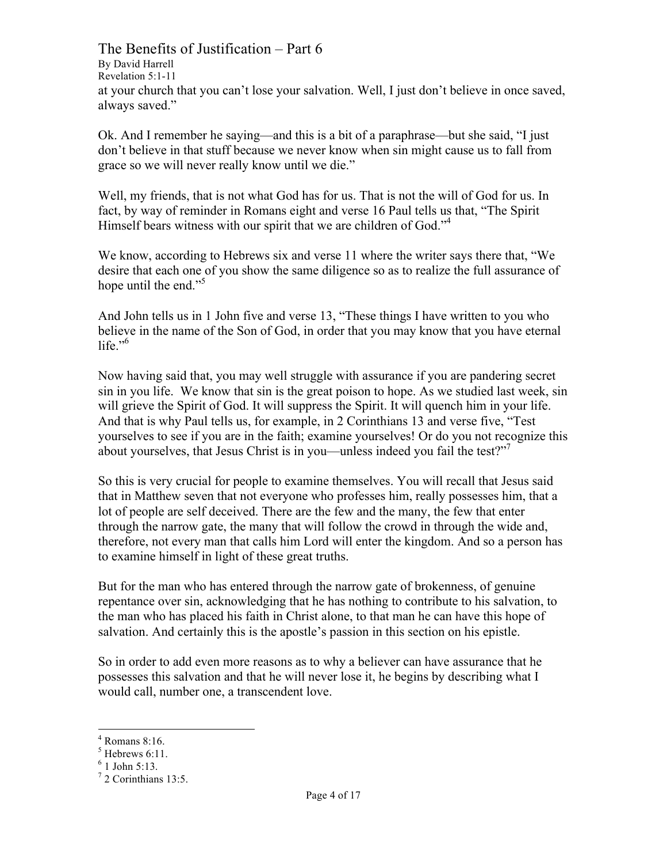The Benefits of Justification – Part 6 By David Harrell Revelation 5:1-11 at your church that you can't lose your salvation. Well, I just don't believe in once saved, always saved."

Ok. And I remember he saying—and this is a bit of a paraphrase—but she said, "I just don't believe in that stuff because we never know when sin might cause us to fall from grace so we will never really know until we die."

Well, my friends, that is not what God has for us. That is not the will of God for us. In fact, by way of reminder in Romans eight and verse 16 Paul tells us that, "The Spirit Himself bears witness with our spirit that we are children of God."<sup>4</sup>

We know, according to Hebrews six and verse 11 where the writer says there that, "We desire that each one of you show the same diligence so as to realize the full assurance of hope until the end."<sup>5</sup>

And John tells us in 1 John five and verse 13, "These things I have written to you who believe in the name of the Son of God, in order that you may know that you have eternal life." $6$ 

Now having said that, you may well struggle with assurance if you are pandering secret sin in you life. We know that sin is the great poison to hope. As we studied last week, sin will grieve the Spirit of God. It will suppress the Spirit. It will quench him in your life. And that is why Paul tells us, for example, in 2 Corinthians 13 and verse five, "Test yourselves to see if you are in the faith; examine yourselves! Or do you not recognize this about yourselves, that Jesus Christ is in you—unless indeed you fail the test?"<sup>7</sup>

So this is very crucial for people to examine themselves. You will recall that Jesus said that in Matthew seven that not everyone who professes him, really possesses him, that a lot of people are self deceived. There are the few and the many, the few that enter through the narrow gate, the many that will follow the crowd in through the wide and, therefore, not every man that calls him Lord will enter the kingdom. And so a person has to examine himself in light of these great truths.

But for the man who has entered through the narrow gate of brokenness, of genuine repentance over sin, acknowledging that he has nothing to contribute to his salvation, to the man who has placed his faith in Christ alone, to that man he can have this hope of salvation. And certainly this is the apostle's passion in this section on his epistle.

So in order to add even more reasons as to why a believer can have assurance that he possesses this salvation and that he will never lose it, he begins by describing what I would call, number one, a transcendent love.

 $4$  Romans 8:16.

 $<sup>5</sup>$  Hebrews 6:11.</sup>

<sup>6</sup> 1 John 5:13.

 $7$  2 Corinthians 13:5.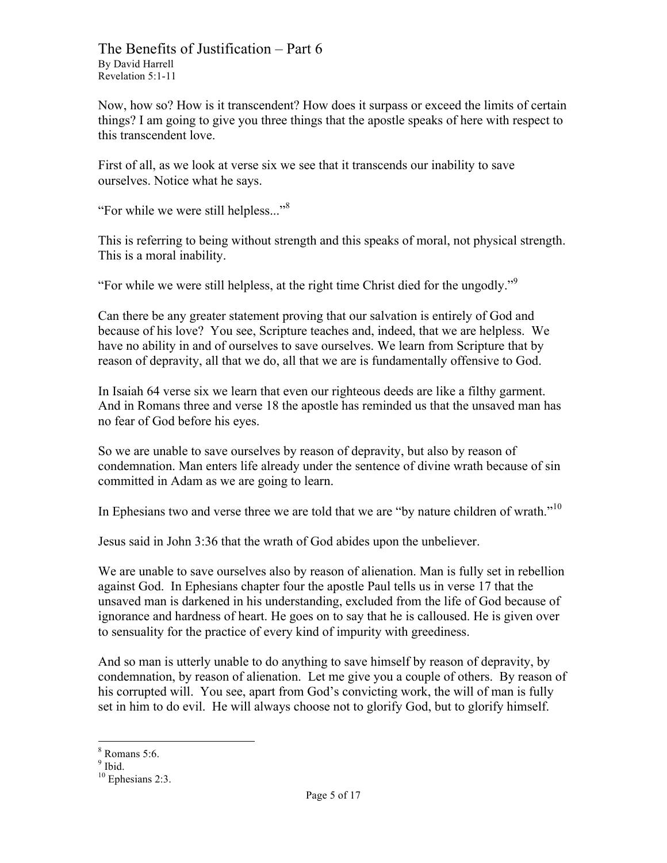Now, how so? How is it transcendent? How does it surpass or exceed the limits of certain things? I am going to give you three things that the apostle speaks of here with respect to this transcendent love.

First of all, as we look at verse six we see that it transcends our inability to save ourselves. Notice what he says.

"For while we were still helpless..."<sup>8</sup>

This is referring to being without strength and this speaks of moral, not physical strength. This is a moral inability.

"For while we were still helpless, at the right time Christ died for the ungodly."<sup>9</sup>

Can there be any greater statement proving that our salvation is entirely of God and because of his love? You see, Scripture teaches and, indeed, that we are helpless. We have no ability in and of ourselves to save ourselves. We learn from Scripture that by reason of depravity, all that we do, all that we are is fundamentally offensive to God.

In Isaiah 64 verse six we learn that even our righteous deeds are like a filthy garment. And in Romans three and verse 18 the apostle has reminded us that the unsaved man has no fear of God before his eyes.

So we are unable to save ourselves by reason of depravity, but also by reason of condemnation. Man enters life already under the sentence of divine wrath because of sin committed in Adam as we are going to learn.

In Ephesians two and verse three we are told that we are "by nature children of wrath."<sup>10</sup>

Jesus said in John 3:36 that the wrath of God abides upon the unbeliever.

We are unable to save ourselves also by reason of alienation. Man is fully set in rebellion against God. In Ephesians chapter four the apostle Paul tells us in verse 17 that the unsaved man is darkened in his understanding, excluded from the life of God because of ignorance and hardness of heart. He goes on to say that he is calloused. He is given over to sensuality for the practice of every kind of impurity with greediness.

And so man is utterly unable to do anything to save himself by reason of depravity, by condemnation, by reason of alienation. Let me give you a couple of others. By reason of his corrupted will. You see, apart from God's convicting work, the will of man is fully set in him to do evil. He will always choose not to glorify God, but to glorify himself.

 $8$  Romans 5:6.

 $9$  Ibid.

 $10$  Ephesians 2:3.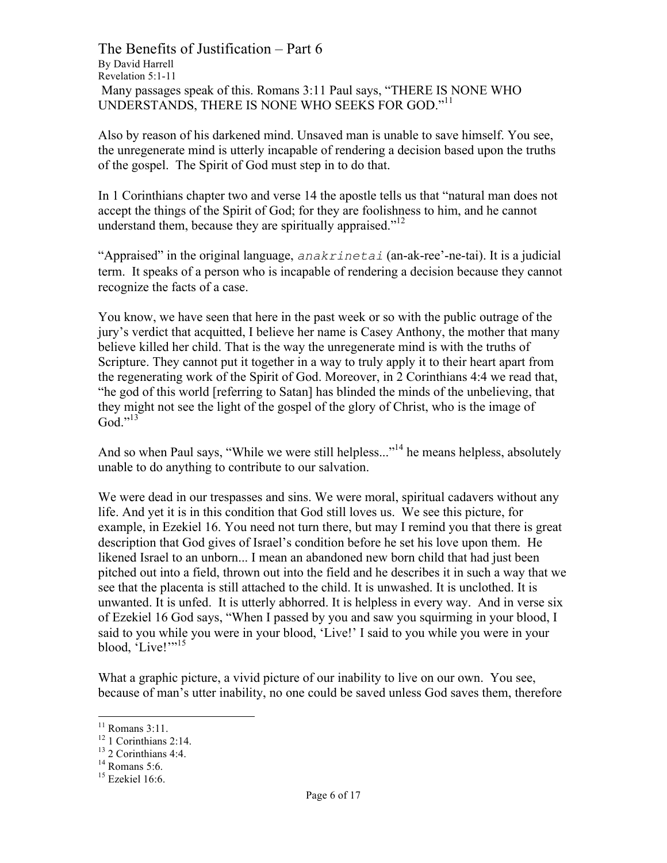The Benefits of Justification – Part 6 By David Harrell Revelation 5:1-11 Many passages speak of this. Romans 3:11 Paul says, "THERE IS NONE WHO UNDERSTANDS, THERE IS NONE WHO SEEKS FOR GOD."<sup>11</sup>

Also by reason of his darkened mind. Unsaved man is unable to save himself. You see, the unregenerate mind is utterly incapable of rendering a decision based upon the truths of the gospel. The Spirit of God must step in to do that.

In 1 Corinthians chapter two and verse 14 the apostle tells us that "natural man does not accept the things of the Spirit of God; for they are foolishness to him, and he cannot understand them, because they are spiritually appraised."<sup>12</sup>

"Appraised" in the original language, *anakrinetai* (an-ak-ree'-ne-tai). It is a judicial term. It speaks of a person who is incapable of rendering a decision because they cannot recognize the facts of a case.

You know, we have seen that here in the past week or so with the public outrage of the jury's verdict that acquitted, I believe her name is Casey Anthony, the mother that many believe killed her child. That is the way the unregenerate mind is with the truths of Scripture. They cannot put it together in a way to truly apply it to their heart apart from the regenerating work of the Spirit of God. Moreover, in 2 Corinthians 4:4 we read that, "he god of this world [referring to Satan] has blinded the minds of the unbelieving, that they might not see the light of the gospel of the glory of Christ, who is the image of  $God.<sup>913</sup>$ 

And so when Paul says, "While we were still helpless..."<sup>14</sup> he means helpless, absolutely unable to do anything to contribute to our salvation.

We were dead in our trespasses and sins. We were moral, spiritual cadavers without any life. And yet it is in this condition that God still loves us. We see this picture, for example, in Ezekiel 16. You need not turn there, but may I remind you that there is great description that God gives of Israel's condition before he set his love upon them. He likened Israel to an unborn... I mean an abandoned new born child that had just been pitched out into a field, thrown out into the field and he describes it in such a way that we see that the placenta is still attached to the child. It is unwashed. It is unclothed. It is unwanted. It is unfed. It is utterly abhorred. It is helpless in every way. And in verse six of Ezekiel 16 God says, "When I passed by you and saw you squirming in your blood, I said to you while you were in your blood, 'Live!' I said to you while you were in your blood, 'Live!'"<sup>15</sup>

What a graphic picture, a vivid picture of our inability to live on our own. You see, because of man's utter inability, no one could be saved unless God saves them, therefore

<sup>&</sup>lt;sup>11</sup> Romans 3:11.<br><sup>12</sup> 1 Corinthians 2:14.<br><sup>13</sup> 2 Corinthians 4:4.<br><sup>14</sup> Romans 5:6.<br><sup>15</sup> Ezekiel 16:6.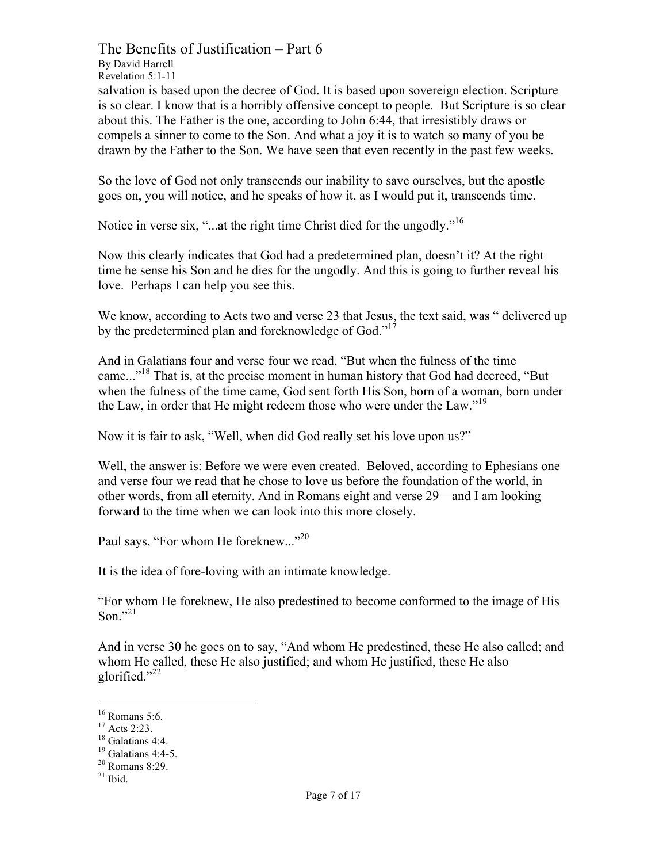The Benefits of Justification – Part 6 By David Harrell Revelation 5:1-11 salvation is based upon the decree of God. It is based upon sovereign election. Scripture is so clear. I know that is a horribly offensive concept to people. But Scripture is so clear about this. The Father is the one, according to John 6:44, that irresistibly draws or compels a sinner to come to the Son. And what a joy it is to watch so many of you be drawn by the Father to the Son. We have seen that even recently in the past few weeks.

So the love of God not only transcends our inability to save ourselves, but the apostle goes on, you will notice, and he speaks of how it, as I would put it, transcends time.

Notice in verse six, "...at the right time Christ died for the ungodly."<sup>16</sup>

Now this clearly indicates that God had a predetermined plan, doesn't it? At the right time he sense his Son and he dies for the ungodly. And this is going to further reveal his love. Perhaps I can help you see this.

We know, according to Acts two and verse 23 that Jesus, the text said, was " delivered up by the predetermined plan and foreknowledge of God."<sup>17</sup>

And in Galatians four and verse four we read, "But when the fulness of the time came..."<sup>18</sup> That is, at the precise moment in human history that God had decreed, "But when the fulness of the time came, God sent forth His Son, born of a woman, born under the Law, in order that He might redeem those who were under the Law."<sup>19</sup>

Now it is fair to ask, "Well, when did God really set his love upon us?"

Well, the answer is: Before we were even created. Beloved, according to Ephesians one and verse four we read that he chose to love us before the foundation of the world, in other words, from all eternity. And in Romans eight and verse 29—and I am looking forward to the time when we can look into this more closely.

Paul says, "For whom He foreknew..."<sup>20</sup>

It is the idea of fore-loving with an intimate knowledge.

"For whom He foreknew, He also predestined to become conformed to the image of His Son $^{7,21}$ 

And in verse 30 he goes on to say, "And whom He predestined, these He also called; and whom He called, these He also justified; and whom He justified, these He also glorified."<sup>22</sup>

<sup>&</sup>lt;sup>16</sup> Romans 5:6.<br><sup>17</sup> Acts 2:23.<br><sup>18</sup> Galatians 4:4.<br><sup>19</sup> Galatians 4:4-5.<br><sup>20</sup> Romans 8:29.<br><sup>21</sup> Ibid.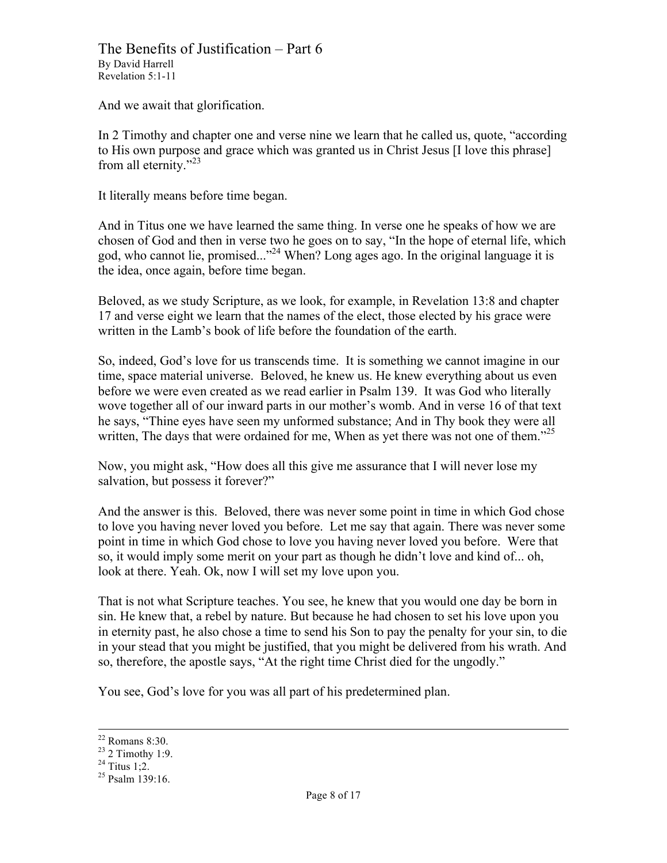And we await that glorification.

In 2 Timothy and chapter one and verse nine we learn that he called us, quote, "according to His own purpose and grace which was granted us in Christ Jesus [I love this phrase] from all eternity."<sup>23</sup>

It literally means before time began.

And in Titus one we have learned the same thing. In verse one he speaks of how we are chosen of God and then in verse two he goes on to say, "In the hope of eternal life, which god, who cannot lie, promised..."24 When? Long ages ago. In the original language it is the idea, once again, before time began.

Beloved, as we study Scripture, as we look, for example, in Revelation 13:8 and chapter 17 and verse eight we learn that the names of the elect, those elected by his grace were written in the Lamb's book of life before the foundation of the earth.

So, indeed, God's love for us transcends time. It is something we cannot imagine in our time, space material universe. Beloved, he knew us. He knew everything about us even before we were even created as we read earlier in Psalm 139. It was God who literally wove together all of our inward parts in our mother's womb. And in verse 16 of that text he says, "Thine eyes have seen my unformed substance; And in Thy book they were all written, The days that were ordained for me, When as yet there was not one of them."<sup>25</sup>

Now, you might ask, "How does all this give me assurance that I will never lose my salvation, but possess it forever?"

And the answer is this. Beloved, there was never some point in time in which God chose to love you having never loved you before. Let me say that again. There was never some point in time in which God chose to love you having never loved you before. Were that so, it would imply some merit on your part as though he didn't love and kind of... oh, look at there. Yeah. Ok, now I will set my love upon you.

That is not what Scripture teaches. You see, he knew that you would one day be born in sin. He knew that, a rebel by nature. But because he had chosen to set his love upon you in eternity past, he also chose a time to send his Son to pay the penalty for your sin, to die in your stead that you might be justified, that you might be delivered from his wrath. And so, therefore, the apostle says, "At the right time Christ died for the ungodly."

You see, God's love for you was all part of his predetermined plan.

<sup>&</sup>lt;sup>22</sup> Romans 8:30.<br><sup>23</sup> 2 Timothy 1:9.<br><sup>24</sup> Titus 1;2.<br><sup>25</sup> Psalm 139:16.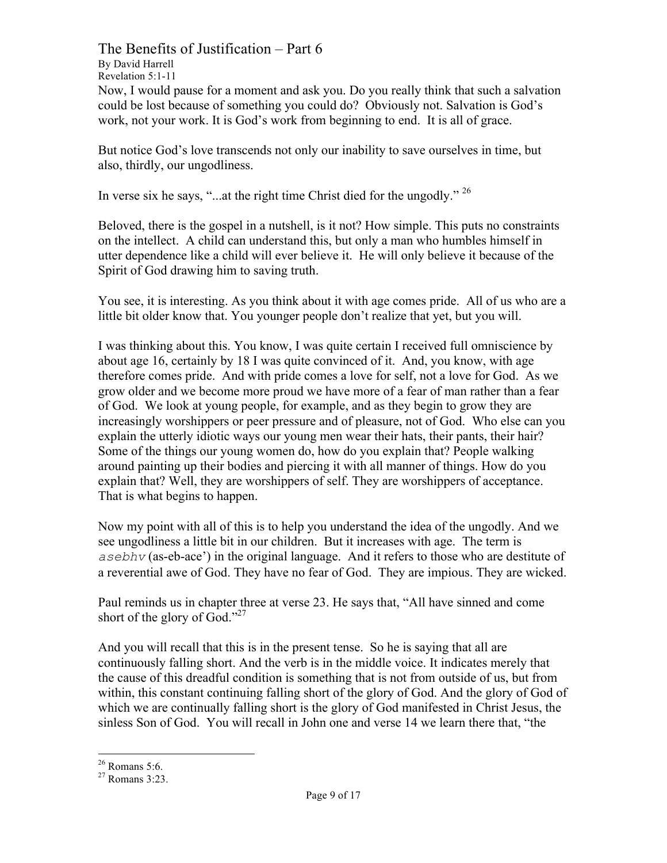The Benefits of Justification – Part 6 By David Harrell Revelation 5:1-11 Now, I would pause for a moment and ask you. Do you really think that such a salvation could be lost because of something you could do? Obviously not. Salvation is God's work, not your work. It is God's work from beginning to end. It is all of grace.

But notice God's love transcends not only our inability to save ourselves in time, but also, thirdly, our ungodliness.

In verse six he says, "...at the right time Christ died for the ungodly."  $^{26}$ 

Beloved, there is the gospel in a nutshell, is it not? How simple. This puts no constraints on the intellect. A child can understand this, but only a man who humbles himself in utter dependence like a child will ever believe it. He will only believe it because of the Spirit of God drawing him to saving truth.

You see, it is interesting. As you think about it with age comes pride. All of us who are a little bit older know that. You younger people don't realize that yet, but you will.

I was thinking about this. You know, I was quite certain I received full omniscience by about age 16, certainly by 18 I was quite convinced of it. And, you know, with age therefore comes pride. And with pride comes a love for self, not a love for God. As we grow older and we become more proud we have more of a fear of man rather than a fear of God. We look at young people, for example, and as they begin to grow they are increasingly worshippers or peer pressure and of pleasure, not of God. Who else can you explain the utterly idiotic ways our young men wear their hats, their pants, their hair? Some of the things our young women do, how do you explain that? People walking around painting up their bodies and piercing it with all manner of things. How do you explain that? Well, they are worshippers of self. They are worshippers of acceptance. That is what begins to happen.

Now my point with all of this is to help you understand the idea of the ungodly. And we see ungodliness a little bit in our children. But it increases with age. The term is *asebhv* (as-eb-ace') in the original language. And it refers to those who are destitute of a reverential awe of God. They have no fear of God. They are impious. They are wicked.

Paul reminds us in chapter three at verse 23. He says that, "All have sinned and come short of the glory of God." $^{27}$ 

And you will recall that this is in the present tense. So he is saying that all are continuously falling short. And the verb is in the middle voice. It indicates merely that the cause of this dreadful condition is something that is not from outside of us, but from within, this constant continuing falling short of the glory of God. And the glory of God of which we are continually falling short is the glory of God manifested in Christ Jesus, the sinless Son of God. You will recall in John one and verse 14 we learn there that, "the

 $\frac{26}{27}$  Romans 5:6.<br><sup>27</sup> Romans 3:23.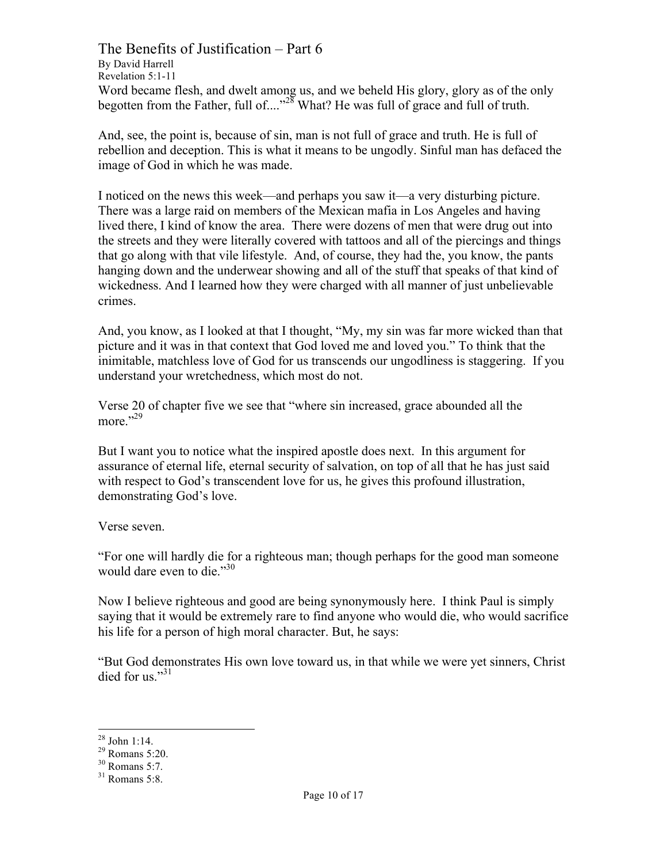The Benefits of Justification – Part 6 By David Harrell Revelation 5:1-11 Word became flesh, and dwelt among us, and we beheld His glory, glory as of the only begotten from the Father, full of...."<sup>28</sup> What? He was full of grace and full of truth.

And, see, the point is, because of sin, man is not full of grace and truth. He is full of rebellion and deception. This is what it means to be ungodly. Sinful man has defaced the image of God in which he was made.

I noticed on the news this week—and perhaps you saw it—a very disturbing picture. There was a large raid on members of the Mexican mafia in Los Angeles and having lived there, I kind of know the area. There were dozens of men that were drug out into the streets and they were literally covered with tattoos and all of the piercings and things that go along with that vile lifestyle. And, of course, they had the, you know, the pants hanging down and the underwear showing and all of the stuff that speaks of that kind of wickedness. And I learned how they were charged with all manner of just unbelievable crimes.

And, you know, as I looked at that I thought, "My, my sin was far more wicked than that picture and it was in that context that God loved me and loved you." To think that the inimitable, matchless love of God for us transcends our ungodliness is staggering. If you understand your wretchedness, which most do not.

Verse 20 of chapter five we see that "where sin increased, grace abounded all the more $^{1,29}$ 

But I want you to notice what the inspired apostle does next. In this argument for assurance of eternal life, eternal security of salvation, on top of all that he has just said with respect to God's transcendent love for us, he gives this profound illustration, demonstrating God's love.

Verse seven.

"For one will hardly die for a righteous man; though perhaps for the good man someone would dare even to die."<sup>30</sup>

Now I believe righteous and good are being synonymously here. I think Paul is simply saying that it would be extremely rare to find anyone who would die, who would sacrifice his life for a person of high moral character. But, he says:

"But God demonstrates His own love toward us, in that while we were yet sinners, Christ died for us $^{31}$ 

<sup>&</sup>lt;sup>28</sup> John 1:14.<br><sup>29</sup> Romans 5:20.<br><sup>30</sup> Romans 5:7.<br><sup>31</sup> Romans 5:8.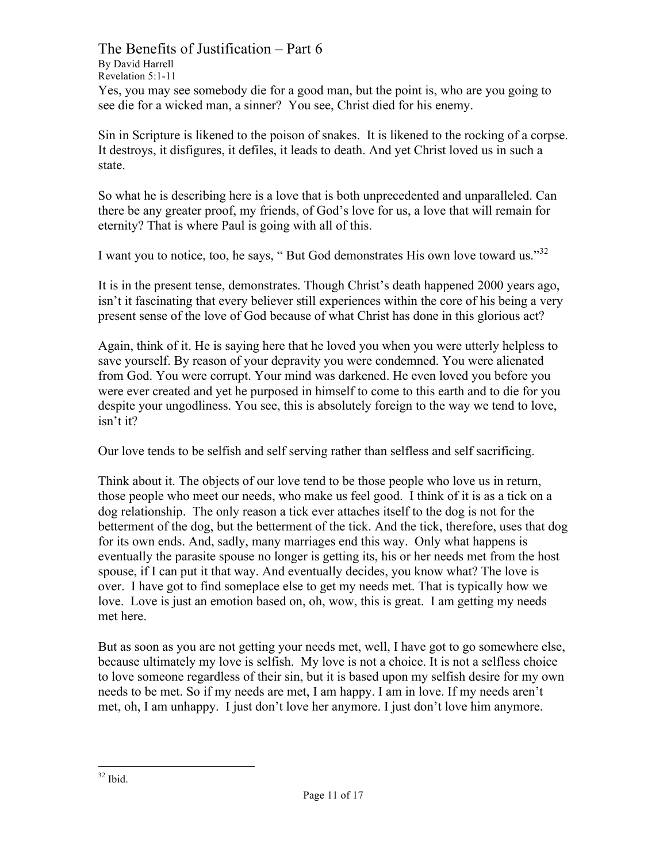The Benefits of Justification – Part 6 By David Harrell Revelation 5:1-11 Yes, you may see somebody die for a good man, but the point is, who are you going to see die for a wicked man, a sinner? You see, Christ died for his enemy.

Sin in Scripture is likened to the poison of snakes. It is likened to the rocking of a corpse. It destroys, it disfigures, it defiles, it leads to death. And yet Christ loved us in such a state.

So what he is describing here is a love that is both unprecedented and unparalleled. Can there be any greater proof, my friends, of God's love for us, a love that will remain for eternity? That is where Paul is going with all of this.

I want you to notice, too, he says, "But God demonstrates His own love toward us."<sup>32</sup>

It is in the present tense, demonstrates. Though Christ's death happened 2000 years ago, isn't it fascinating that every believer still experiences within the core of his being a very present sense of the love of God because of what Christ has done in this glorious act?

Again, think of it. He is saying here that he loved you when you were utterly helpless to save yourself. By reason of your depravity you were condemned. You were alienated from God. You were corrupt. Your mind was darkened. He even loved you before you were ever created and yet he purposed in himself to come to this earth and to die for you despite your ungodliness. You see, this is absolutely foreign to the way we tend to love, isn't it?

Our love tends to be selfish and self serving rather than selfless and self sacrificing.

Think about it. The objects of our love tend to be those people who love us in return, those people who meet our needs, who make us feel good. I think of it is as a tick on a dog relationship. The only reason a tick ever attaches itself to the dog is not for the betterment of the dog, but the betterment of the tick. And the tick, therefore, uses that dog for its own ends. And, sadly, many marriages end this way. Only what happens is eventually the parasite spouse no longer is getting its, his or her needs met from the host spouse, if I can put it that way. And eventually decides, you know what? The love is over. I have got to find someplace else to get my needs met. That is typically how we love. Love is just an emotion based on, oh, wow, this is great. I am getting my needs met here.

But as soon as you are not getting your needs met, well, I have got to go somewhere else, because ultimately my love is selfish. My love is not a choice. It is not a selfless choice to love someone regardless of their sin, but it is based upon my selfish desire for my own needs to be met. So if my needs are met, I am happy. I am in love. If my needs aren't met, oh, I am unhappy. I just don't love her anymore. I just don't love him anymore.

 $32$  Ibid.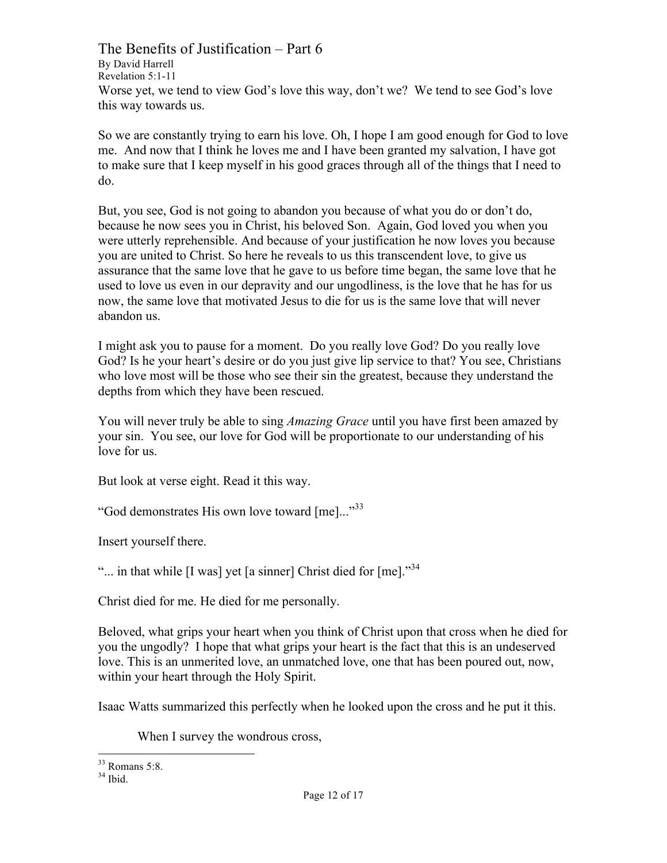The Benefits of Justification – Part 6 By David Harrell Revelation 5:1-11 Worse yet, we tend to view God's love this way, don't we? We tend to see God's love this way towards us.

So we are constantly trying to earn his love. Oh, I hope I am good enough for God to love me. And now that I think he loves me and I have been granted my salvation, I have got to make sure that I keep myself in his good graces through all of the things that I need to do.

But, you see, God is not going to abandon you because of what you do or don't do, because he now sees you in Christ, his beloved Son. Again, God loved you when you were utterly reprehensible. And because of your justification he now loves you because you are united to Christ. So here he reveals to us this transcendent love, to give us assurance that the same love that he gave to us before time began, the same love that he used to love us even in our depravity and our ungodliness, is the love that he has for us now, the same love that motivated Jesus to die for us is the same love that will never abandon us.

I might ask you to pause for a moment. Do you really love God? Do you really love God? Is he your heart's desire or do you just give lip service to that? You see, Christians who love most will be those who see their sin the greatest, because they understand the depths from which they have been rescued.

You will never truly be able to sing *Amazing Grace* until you have first been amazed by your sin. You see, our love for God will be proportionate to our understanding of his love for us.

But look at verse eight. Read it this way.

"God demonstrates His own love toward [me]..."<sup>33</sup>

Insert yourself there.

"... in that while  $[I$  was] yet [a sinner] Christ died for  $[me]$ ."<sup>34</sup>

Christ died for me. He died for me personally.

Beloved, what grips your heart when you think of Christ upon that cross when he died for you the ungodly? I hope that what grips your heart is the fact that this is an undeserved love. This is an unmerited love, an unmatched love, one that has been poured out, now, within your heart through the Holy Spirit.

Isaac Watts summarized this perfectly when he looked upon the cross and he put it this.

When I survey the wondrous cross,

 $33$  Romans 5:8.<br> $34$  Ibid.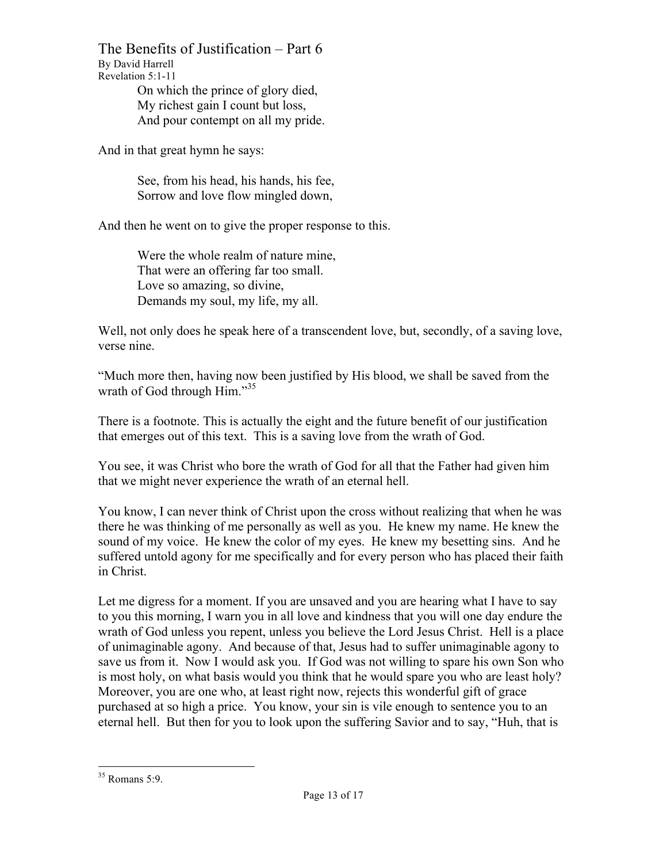The Benefits of Justification – Part 6 By David Harrell Revelation 5:1-11 On which the prince of glory died,

My richest gain I count but loss, And pour contempt on all my pride.

And in that great hymn he says:

See, from his head, his hands, his fee, Sorrow and love flow mingled down,

And then he went on to give the proper response to this.

Were the whole realm of nature mine. That were an offering far too small. Love so amazing, so divine, Demands my soul, my life, my all.

Well, not only does he speak here of a transcendent love, but, secondly, of a saving love, verse nine.

"Much more then, having now been justified by His blood, we shall be saved from the wrath of God through Him."<sup>35</sup>

There is a footnote. This is actually the eight and the future benefit of our justification that emerges out of this text. This is a saving love from the wrath of God.

You see, it was Christ who bore the wrath of God for all that the Father had given him that we might never experience the wrath of an eternal hell.

You know, I can never think of Christ upon the cross without realizing that when he was there he was thinking of me personally as well as you. He knew my name. He knew the sound of my voice. He knew the color of my eyes. He knew my besetting sins. And he suffered untold agony for me specifically and for every person who has placed their faith in Christ.

Let me digress for a moment. If you are unsaved and you are hearing what I have to say to you this morning, I warn you in all love and kindness that you will one day endure the wrath of God unless you repent, unless you believe the Lord Jesus Christ. Hell is a place of unimaginable agony. And because of that, Jesus had to suffer unimaginable agony to save us from it. Now I would ask you. If God was not willing to spare his own Son who is most holy, on what basis would you think that he would spare you who are least holy? Moreover, you are one who, at least right now, rejects this wonderful gift of grace purchased at so high a price. You know, your sin is vile enough to sentence you to an eternal hell. But then for you to look upon the suffering Savior and to say, "Huh, that is

 <sup>35</sup> Romans 5:9.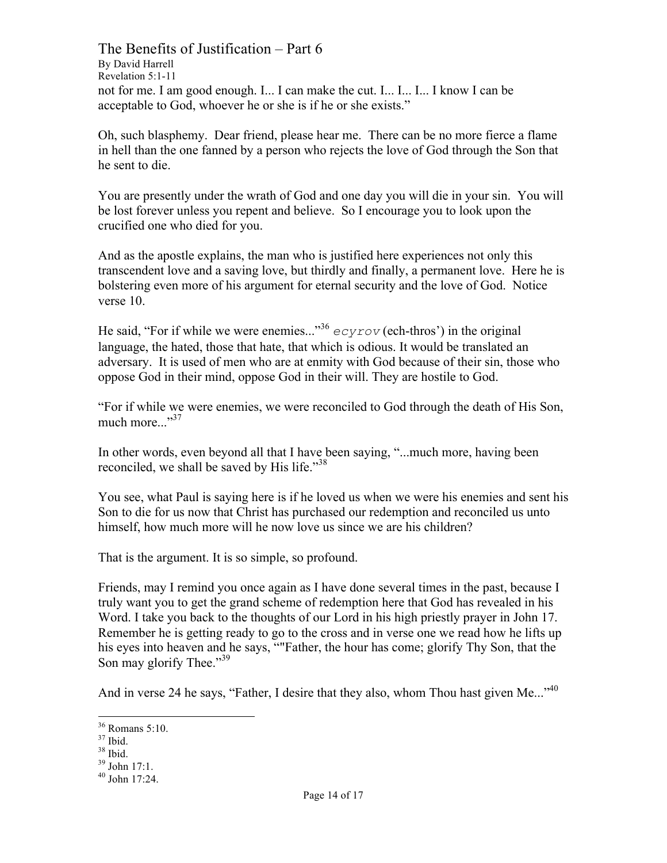The Benefits of Justification – Part 6 By David Harrell Revelation 5:1-11 not for me. I am good enough. I... I can make the cut. I... I... I... I know I can be acceptable to God, whoever he or she is if he or she exists."

Oh, such blasphemy. Dear friend, please hear me. There can be no more fierce a flame in hell than the one fanned by a person who rejects the love of God through the Son that he sent to die.

You are presently under the wrath of God and one day you will die in your sin. You will be lost forever unless you repent and believe. So I encourage you to look upon the crucified one who died for you.

And as the apostle explains, the man who is justified here experiences not only this transcendent love and a saving love, but thirdly and finally, a permanent love. Here he is bolstering even more of his argument for eternal security and the love of God. Notice verse 10.

He said, "For if while we were enemies..."<sup>36</sup>  $ecyrov$  (ech-thros') in the original language, the hated, those that hate, that which is odious. It would be translated an adversary. It is used of men who are at enmity with God because of their sin, those who oppose God in their mind, oppose God in their will. They are hostile to God.

"For if while we were enemies, we were reconciled to God through the death of His Son, much more..."<sup>37</sup>

In other words, even beyond all that I have been saying, "...much more, having been reconciled, we shall be saved by His life."<sup>38</sup>

You see, what Paul is saying here is if he loved us when we were his enemies and sent his Son to die for us now that Christ has purchased our redemption and reconciled us unto himself, how much more will he now love us since we are his children?

That is the argument. It is so simple, so profound.

Friends, may I remind you once again as I have done several times in the past, because I truly want you to get the grand scheme of redemption here that God has revealed in his Word. I take you back to the thoughts of our Lord in his high priestly prayer in John 17. Remember he is getting ready to go to the cross and in verse one we read how he lifts up his eyes into heaven and he says, ""Father, the hour has come; glorify Thy Son, that the Son may glorify Thee."<sup>39</sup>

And in verse 24 he says, "Father, I desire that they also, whom Thou hast given Me..."<sup>40</sup>

<sup>&</sup>lt;sup>36</sup> Romans 5:10.<br><sup>37</sup> Ibid.<br><sup>38</sup> John 17:1.<br><sup>40</sup> John 17:24.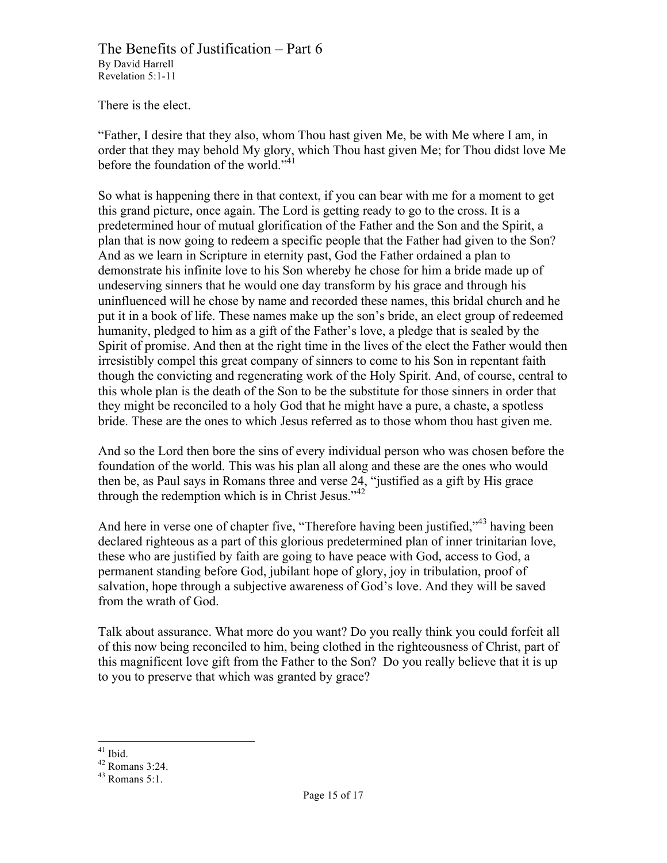There is the elect.

"Father, I desire that they also, whom Thou hast given Me, be with Me where I am, in order that they may behold My glory, which Thou hast given Me; for Thou didst love Me before the foundation of the world."<sup>41</sup>

So what is happening there in that context, if you can bear with me for a moment to get this grand picture, once again. The Lord is getting ready to go to the cross. It is a predetermined hour of mutual glorification of the Father and the Son and the Spirit, a plan that is now going to redeem a specific people that the Father had given to the Son? And as we learn in Scripture in eternity past, God the Father ordained a plan to demonstrate his infinite love to his Son whereby he chose for him a bride made up of undeserving sinners that he would one day transform by his grace and through his uninfluenced will he chose by name and recorded these names, this bridal church and he put it in a book of life. These names make up the son's bride, an elect group of redeemed humanity, pledged to him as a gift of the Father's love, a pledge that is sealed by the Spirit of promise. And then at the right time in the lives of the elect the Father would then irresistibly compel this great company of sinners to come to his Son in repentant faith though the convicting and regenerating work of the Holy Spirit. And, of course, central to this whole plan is the death of the Son to be the substitute for those sinners in order that they might be reconciled to a holy God that he might have a pure, a chaste, a spotless bride. These are the ones to which Jesus referred as to those whom thou hast given me.

And so the Lord then bore the sins of every individual person who was chosen before the foundation of the world. This was his plan all along and these are the ones who would then be, as Paul says in Romans three and verse 24, "justified as a gift by His grace through the redemption which is in Christ Jesus."<sup>42</sup>

And here in verse one of chapter five, "Therefore having been justified,"<sup>43</sup> having been declared righteous as a part of this glorious predetermined plan of inner trinitarian love, these who are justified by faith are going to have peace with God, access to God, a permanent standing before God, jubilant hope of glory, joy in tribulation, proof of salvation, hope through a subjective awareness of God's love. And they will be saved from the wrath of God.

Talk about assurance. What more do you want? Do you really think you could forfeit all of this now being reconciled to him, being clothed in the righteousness of Christ, part of this magnificent love gift from the Father to the Son? Do you really believe that it is up to you to preserve that which was granted by grace?

<sup>&</sup>lt;sup>41</sup> Ibid.<br><sup>42</sup> Romans 3:24.<br><sup>43</sup> Romans 5:1.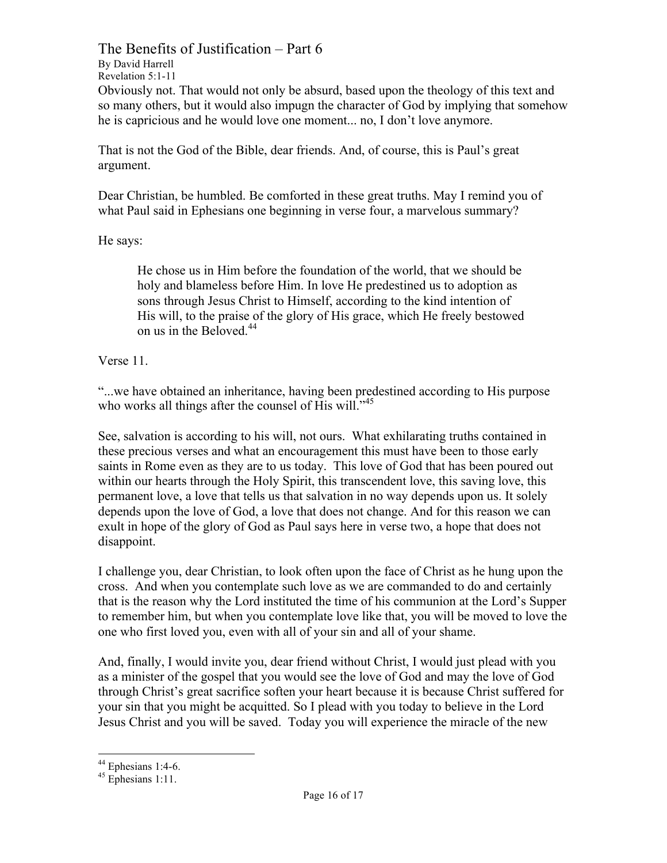The Benefits of Justification – Part 6 By David Harrell Revelation 5:1-11 Obviously not. That would not only be absurd, based upon the theology of this text and so many others, but it would also impugn the character of God by implying that somehow he is capricious and he would love one moment... no, I don't love anymore.

That is not the God of the Bible, dear friends. And, of course, this is Paul's great argument.

Dear Christian, be humbled. Be comforted in these great truths. May I remind you of what Paul said in Ephesians one beginning in verse four, a marvelous summary?

He says:

He chose us in Him before the foundation of the world, that we should be holy and blameless before Him. In love He predestined us to adoption as sons through Jesus Christ to Himself, according to the kind intention of His will, to the praise of the glory of His grace, which He freely bestowed on us in the Beloved. $44$ 

Verse 11.

"...we have obtained an inheritance, having been predestined according to His purpose who works all things after the counsel of His will."<sup>45</sup>

See, salvation is according to his will, not ours. What exhilarating truths contained in these precious verses and what an encouragement this must have been to those early saints in Rome even as they are to us today. This love of God that has been poured out within our hearts through the Holy Spirit, this transcendent love, this saving love, this permanent love, a love that tells us that salvation in no way depends upon us. It solely depends upon the love of God, a love that does not change. And for this reason we can exult in hope of the glory of God as Paul says here in verse two, a hope that does not disappoint.

I challenge you, dear Christian, to look often upon the face of Christ as he hung upon the cross. And when you contemplate such love as we are commanded to do and certainly that is the reason why the Lord instituted the time of his communion at the Lord's Supper to remember him, but when you contemplate love like that, you will be moved to love the one who first loved you, even with all of your sin and all of your shame.

And, finally, I would invite you, dear friend without Christ, I would just plead with you as a minister of the gospel that you would see the love of God and may the love of God through Christ's great sacrifice soften your heart because it is because Christ suffered for your sin that you might be acquitted. So I plead with you today to believe in the Lord Jesus Christ and you will be saved. Today you will experience the miracle of the new

<sup>&</sup>lt;sup>44</sup> Ephesians 1:4-6.<br><sup>45</sup> Ephesians 1:11.